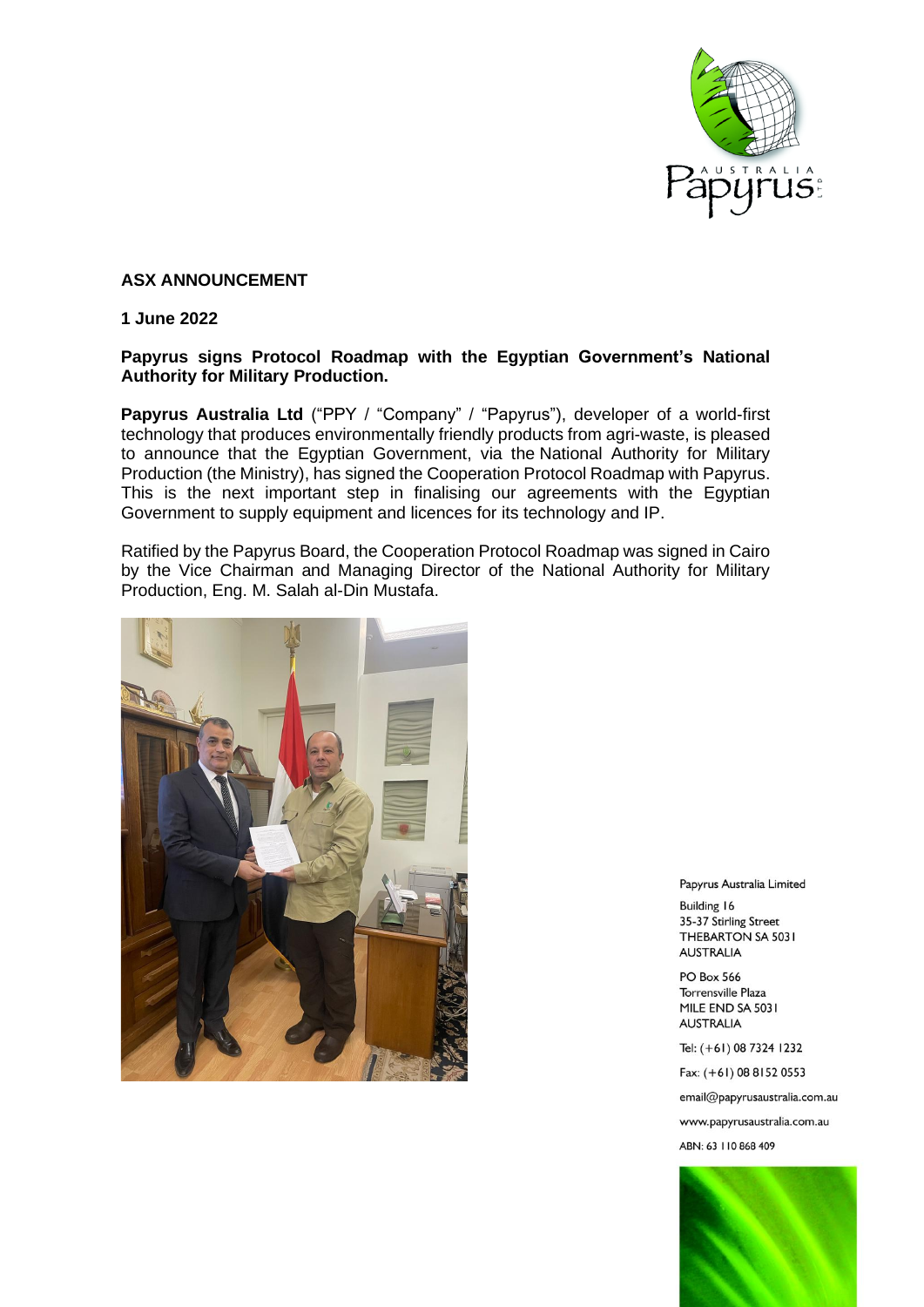

## **ASX ANNOUNCEMENT**

## **1 June 2022**

## **Papyrus signs Protocol Roadmap with the Egyptian Government's National Authority for Military Production.**

**Papyrus Australia Ltd** ("PPY / "Company" / "Papyrus"), developer of a world-first technology that produces environmentally friendly products from agri-waste, is pleased to announce that the Egyptian Government, via the National Authority for Military Production (the Ministry), has signed the Cooperation Protocol Roadmap with Papyrus. This is the next important step in finalising our agreements with the Egyptian Government to supply equipment and licences for its technology and IP.

Ratified by the Papyrus Board, the Cooperation Protocol Roadmap was signed in Cairo by the Vice Chairman and Managing Director of the National Authority for Military Production, Eng. M. Salah al-Din Mustafa.



Papyrus Australia Limited

**Building 16** 35-37 Stirling Street THEBARTON SA 5031 **AUSTRALIA** 

**PO Box 566** Torrensville Plaza MILE END SA 5031 **AUSTRALIA** 

Tel: (+61) 08 7324 1232

Fax: (+61) 08 8152 0553

email@papyrusaustralia.com.au

www.papyrusaustralia.com.au

ABN: 63 | 10 868 409